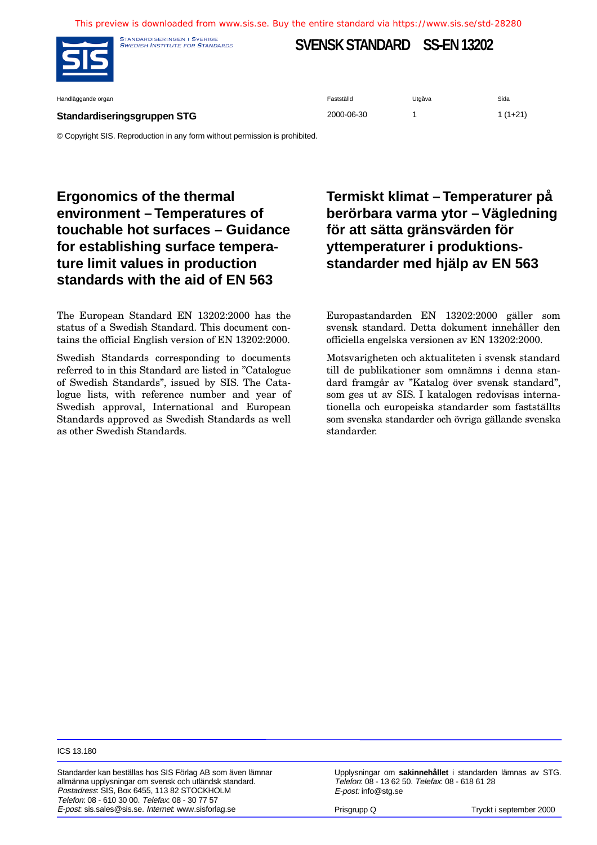**STANDARDISERINGEN I SVERIGE**<br>SWEDISH INSTITUTE FOR STANDARDS

# **SVENSK STANDARD SS-EN 13202**

Handläggande organ Fastställd Utgåva Sida

### **Standardiseringsgruppen STG** 2000-06-30 1 1 (1+21)

© Copyright SIS. Reproduction in any form without permission is prohibited.

# **Ergonomics of the thermal environment – Temperatures of touchable hot surfaces – Guidance for establishing surface temperature limit values in production standards with the aid of EN 563**

The European Standard EN 13202:2000 has the status of a Swedish Standard. This document contains the official English version of EN 13202:2000.

Swedish Standards corresponding to documents referred to in this Standard are listed in "Catalogue of Swedish Standards", issued by SIS. The Catalogue lists, with reference number and year of Swedish approval, International and European Standards approved as Swedish Standards as well as other Swedish Standards.

# **Termiskt klimat – Temperaturer på berörbara varma ytor – Vägledning för att sätta gränsvärden för yttemperaturer i produktionsstandarder med hjälp av EN 563**

Europastandarden EN 13202:2000 gäller som svensk standard. Detta dokument innehåller den officiella engelska versionen av EN 13202:2000.

Motsvarigheten och aktualiteten i svensk standard till de publikationer som omnämns i denna standard framgår av "Katalog över svensk standard", som ges ut av SIS. I katalogen redovisas internationella och europeiska standarder som fastställts som svenska standarder och övriga gällande svenska standarder.

ICS 13.180

Standarder kan beställas hos SIS Förlag AB som även lämnar allmänna upplysningar om svensk och utländsk standard. Postadress: SIS, Box 6455, 113 82 STOCKHOLM Telefon: 08 - 610 30 00. Telefax: 08 - 30 77 57 E-post: sis.sales@sis.se. Internet: www.sisforlag.se

Upplysningar om **sakinnehållet** i standarden lämnas av STG. Telefon: 08 - 13 62 50. Telefax: 08 - 618 61 28 E-post: info@stg.se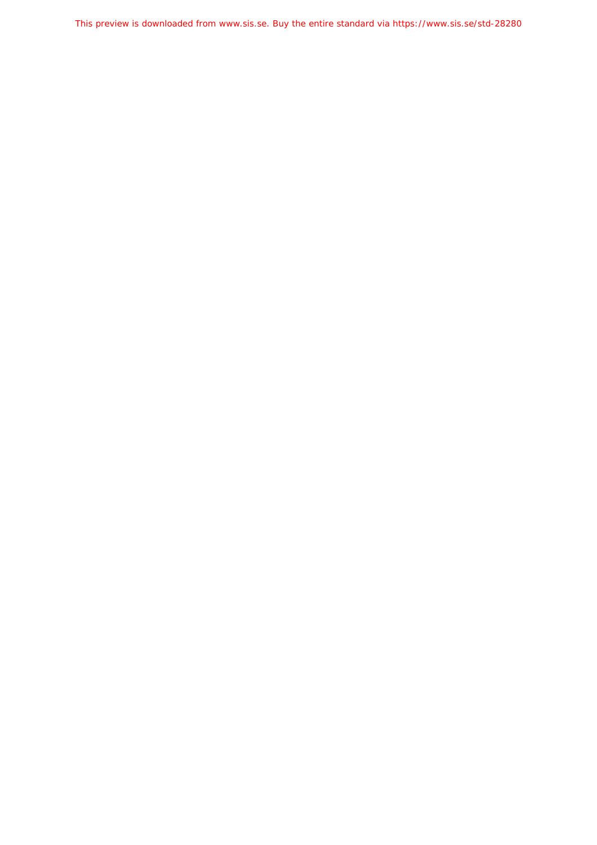This preview is downloaded from www.sis.se. Buy the entire standard via https://www.sis.se/std-28280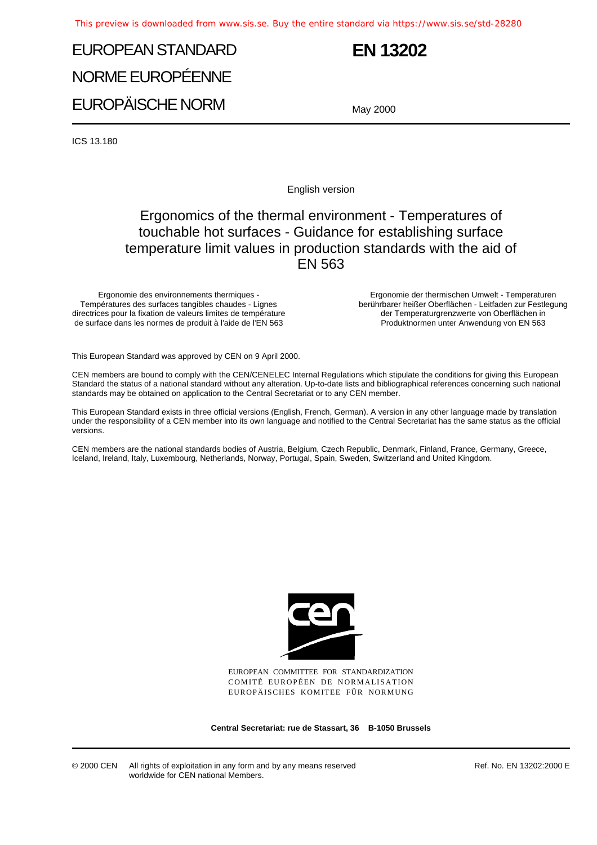# EUROPEAN STANDARD NORME EUROPÉENNE EUROPÄISCHE NORM

# **EN 13202**

May 2000

ICS 13.180

English version

## Ergonomics of the thermal environment - Temperatures of touchable hot surfaces - Guidance for establishing surface temperature limit values in production standards with the aid of EN 563

Ergonomie des environnements thermiques - Températures des surfaces tangibles chaudes - Lignes directrices pour la fixation de valeurs limites de température de surface dans les normes de produit à l'aide de l'EN 563

Ergonomie der thermischen Umwelt - Temperaturen berührbarer heißer Oberflächen - Leitfaden zur Festlegung der Temperaturgrenzwerte von Oberflächen in Produktnormen unter Anwendung von EN 563

This European Standard was approved by CEN on 9 April 2000.

CEN members are bound to comply with the CEN/CENELEC Internal Regulations which stipulate the conditions for giving this European Standard the status of a national standard without any alteration. Up-to-date lists and bibliographical references concerning such national standards may be obtained on application to the Central Secretariat or to any CEN member.

This European Standard exists in three official versions (English, French, German). A version in any other language made by translation under the responsibility of a CEN member into its own language and notified to the Central Secretariat has the same status as the official versions.

CEN members are the national standards bodies of Austria, Belgium, Czech Republic, Denmark, Finland, France, Germany, Greece, Iceland, Ireland, Italy, Luxembourg, Netherlands, Norway, Portugal, Spain, Sweden, Switzerland and United Kingdom.



EUROPEAN COMMITTEE FOR STANDARDIZATION COMITÉ EUROPÉEN DE NORMALISATION EUROPÄISCHES KOMITEE FÜR NORMUNG

**Central Secretariat: rue de Stassart, 36 B-1050 Brussels**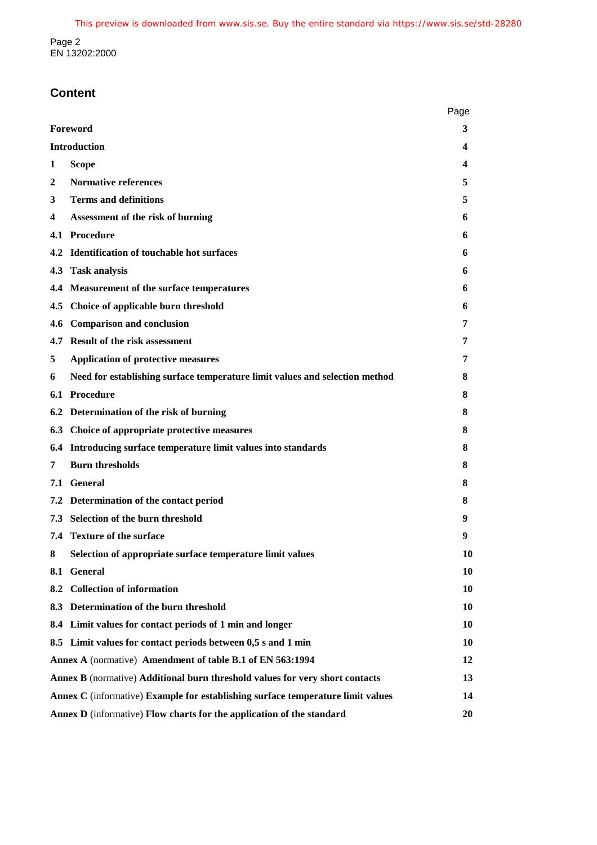Page 2 EN 13202:2000

### **Content**

|                                                                                 |                                                                             | Page |
|---------------------------------------------------------------------------------|-----------------------------------------------------------------------------|------|
| Foreword                                                                        |                                                                             | 3    |
| <b>Introduction</b>                                                             |                                                                             | 4    |
| 1                                                                               | <b>Scope</b>                                                                | 4    |
| $\boldsymbol{2}$                                                                | <b>Normative references</b>                                                 | 5    |
| 3                                                                               | <b>Terms and definitions</b>                                                | 5    |
| 4                                                                               | Assessment of the risk of burning                                           | 6    |
|                                                                                 | 4.1 Procedure                                                               | 6    |
|                                                                                 | 4.2 Identification of touchable hot surfaces                                | 6    |
|                                                                                 | 4.3 Task analysis                                                           | 6    |
|                                                                                 | 4.4 Measurement of the surface temperatures                                 | 6    |
|                                                                                 | 4.5 Choice of applicable burn threshold                                     | 6    |
|                                                                                 | 4.6 Comparison and conclusion                                               | 7    |
|                                                                                 | 4.7 Result of the risk assessment                                           | 7    |
| 5                                                                               | <b>Application of protective measures</b>                                   | 7    |
| 6                                                                               | Need for establishing surface temperature limit values and selection method | 8    |
|                                                                                 | 6.1 Procedure                                                               | 8    |
|                                                                                 | 6.2 Determination of the risk of burning                                    | 8    |
|                                                                                 | 6.3 Choice of appropriate protective measures                               | 8    |
|                                                                                 | 6.4 Introducing surface temperature limit values into standards             | 8    |
| 7                                                                               | <b>Burn thresholds</b>                                                      | 8    |
|                                                                                 | 7.1 General                                                                 | 8    |
|                                                                                 | 7.2 Determination of the contact period                                     | 8    |
|                                                                                 | 7.3 Selection of the burn threshold                                         | 9    |
|                                                                                 | 7.4 Texture of the surface                                                  | 9    |
|                                                                                 | 8 Selection of appropriate surface temperature limit values                 | 10   |
|                                                                                 | 8.1 General                                                                 | 10   |
|                                                                                 | 8.2 Collection of information                                               | 10   |
|                                                                                 | 8.3 Determination of the burn threshold                                     | 10   |
|                                                                                 | 8.4 Limit values for contact periods of 1 min and longer                    | 10   |
|                                                                                 | 8.5 Limit values for contact periods between 0,5 s and 1 min                | 10   |
| Annex A (normative) Amendment of table B.1 of EN 563:1994                       |                                                                             | 12   |
| Annex B (normative) Additional burn threshold values for very short contacts    |                                                                             | 13   |
| Annex C (informative) Example for establishing surface temperature limit values |                                                                             | 14   |
| Annex D (informative) Flow charts for the application of the standard           |                                                                             | 20   |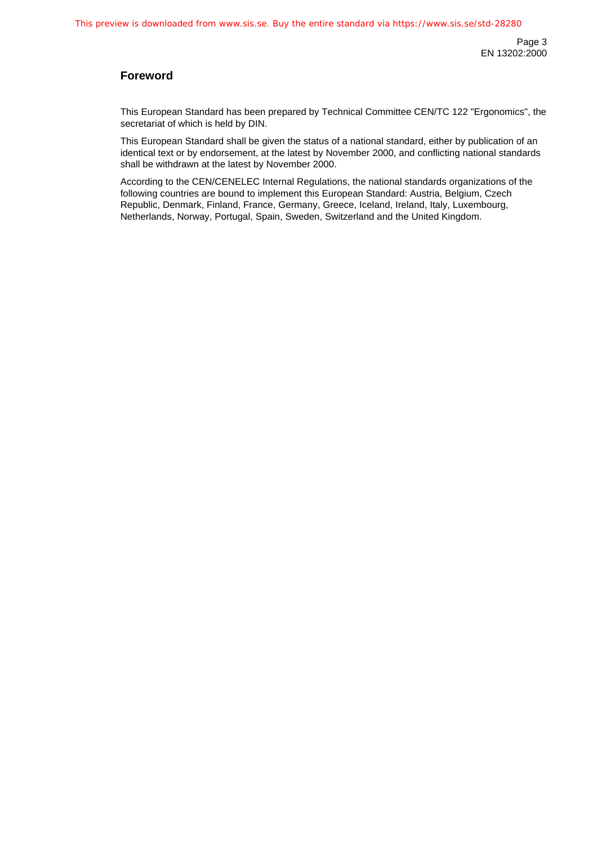### **Foreword**

This European Standard has been prepared by Technical Committee CEN/TC 122 "Ergonomics", the secretariat of which is held by DIN.

This European Standard shall be given the status of a national standard, either by publication of an identical text or by endorsement, at the latest by November 2000, and conflicting national standards shall be withdrawn at the latest by November 2000.

According to the CEN/CENELEC Internal Regulations, the national standards organizations of the following countries are bound to implement this European Standard: Austria, Belgium, Czech Republic, Denmark, Finland, France, Germany, Greece, Iceland, Ireland, Italy, Luxembourg, Netherlands, Norway, Portugal, Spain, Sweden, Switzerland and the United Kingdom.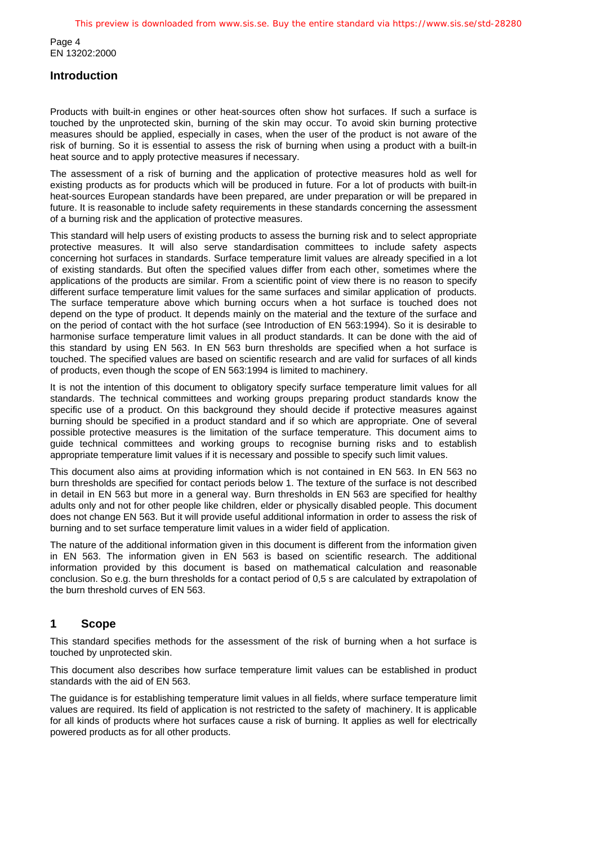Page 4 EN 13202:2000

#### **Introduction**

Products with built-in engines or other heat-sources often show hot surfaces. If such a surface is touched by the unprotected skin, burning of the skin may occur. To avoid skin burning protective measures should be applied, especially in cases, when the user of the product is not aware of the risk of burning. So it is essential to assess the risk of burning when using a product with a built-in heat source and to apply protective measures if necessary.

The assessment of a risk of burning and the application of protective measures hold as well for existing products as for products which will be produced in future. For a lot of products with built-in heat-sources European standards have been prepared, are under preparation or will be prepared in future. It is reasonable to include safety requirements in these standards concerning the assessment of a burning risk and the application of protective measures.

This standard will help users of existing products to assess the burning risk and to select appropriate protective measures. It will also serve standardisation committees to include safety aspects concerning hot surfaces in standards. Surface temperature limit values are already specified in a lot of existing standards. But often the specified values differ from each other, sometimes where the applications of the products are similar. From a scientific point of view there is no reason to specify different surface temperature limit values for the same surfaces and similar application of products. The surface temperature above which burning occurs when a hot surface is touched does not depend on the type of product. It depends mainly on the material and the texture of the surface and on the period of contact with the hot surface (see Introduction of EN 563:1994). So it is desirable to harmonise surface temperature limit values in all product standards. It can be done with the aid of this standard by using EN 563. In EN 563 burn thresholds are specified when a hot surface is touched. The specified values are based on scientific research and are valid for surfaces of all kinds of products, even though the scope of EN 563:1994 is limited to machinery.

It is not the intention of this document to obligatory specify surface temperature limit values for all standards. The technical committees and working groups preparing product standards know the specific use of a product. On this background they should decide if protective measures against burning should be specified in a product standard and if so which are appropriate. One of several possible protective measures is the limitation of the surface temperature. This document aims to guide technical committees and working groups to recognise burning risks and to establish appropriate temperature limit values if it is necessary and possible to specify such limit values.

This document also aims at providing information which is not contained in EN 563. In EN 563 no burn thresholds are specified for contact periods below 1. The texture of the surface is not described in detail in EN 563 but more in a general way. Burn thresholds in EN 563 are specified for healthy adults only and not for other people like children, elder or physically disabled people. This document does not change EN 563. But it will provide useful additional information in order to assess the risk of burning and to set surface temperature limit values in a wider field of application.

The nature of the additional information given in this document is different from the information given in EN 563. The information given in EN 563 is based on scientific research. The additional information provided by this document is based on mathematical calculation and reasonable conclusion. So e.g. the burn thresholds for a contact period of 0,5 s are calculated by extrapolation of the burn threshold curves of EN 563.

### **1 Scope**

This standard specifies methods for the assessment of the risk of burning when a hot surface is touched by unprotected skin.

This document also describes how surface temperature limit values can be established in product standards with the aid of EN 563.

The guidance is for establishing temperature limit values in all fields, where surface temperature limit values are required. Its field of application is not restricted to the safety of machinery. It is applicable for all kinds of products where hot surfaces cause a risk of burning. It applies as well for electrically powered products as for all other products.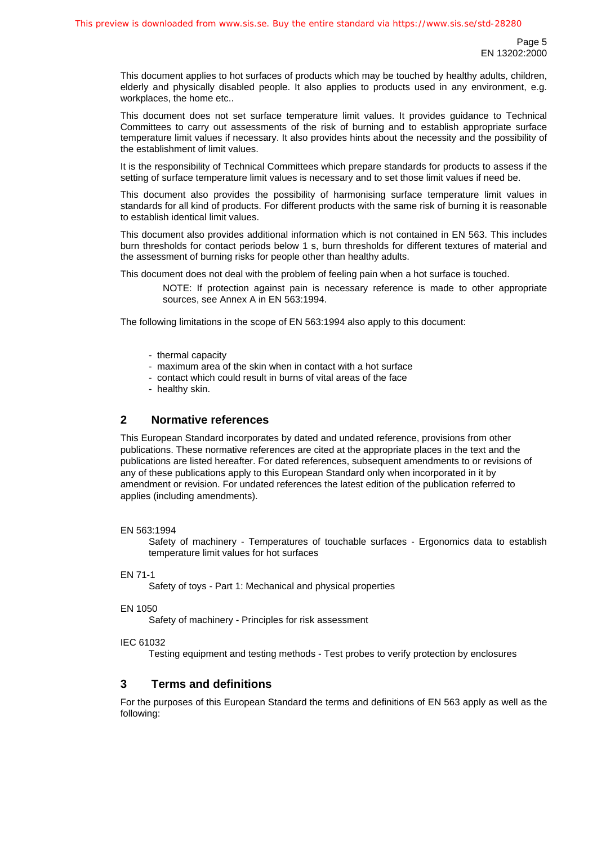This document applies to hot surfaces of products which may be touched by healthy adults, children, elderly and physically disabled people. It also applies to products used in any environment, e.g. workplaces, the home etc..

This document does not set surface temperature limit values. It provides guidance to Technical Committees to carry out assessments of the risk of burning and to establish appropriate surface temperature limit values if necessary. It also provides hints about the necessity and the possibility of the establishment of limit values.

It is the responsibility of Technical Committees which prepare standards for products to assess if the setting of surface temperature limit values is necessary and to set those limit values if need be.

This document also provides the possibility of harmonising surface temperature limit values in standards for all kind of products. For different products with the same risk of burning it is reasonable to establish identical limit values.

This document also provides additional information which is not contained in EN 563. This includes burn thresholds for contact periods below 1 s, burn thresholds for different textures of material and the assessment of burning risks for people other than healthy adults.

This document does not deal with the problem of feeling pain when a hot surface is touched.

NOTE: If protection against pain is necessary reference is made to other appropriate sources, see Annex A in EN 563:1994.

The following limitations in the scope of EN 563:1994 also apply to this document:

- thermal capacity
- maximum area of the skin when in contact with a hot surface
- contact which could result in burns of vital areas of the face
- healthy skin.

### **2 Normative references**

This European Standard incorporates by dated and undated reference, provisions from other publications. These normative references are cited at the appropriate places in the text and the publications are listed hereafter. For dated references, subsequent amendments to or revisions of any of these publications apply to this European Standard only when incorporated in it by amendment or revision. For undated references the latest edition of the publication referred to applies (including amendments).

#### EN 563:1994

Safety of machinery - Temperatures of touchable surfaces - Ergonomics data to establish temperature limit values for hot surfaces

#### EN 71-1

Safety of toys - Part 1: Mechanical and physical properties

#### EN 1050

Safety of machinery - Principles for risk assessment

#### IEC 61032

Testing equipment and testing methods - Test probes to verify protection by enclosures

### **3 Terms and definitions**

For the purposes of this European Standard the terms and definitions of EN 563 apply as well as the following: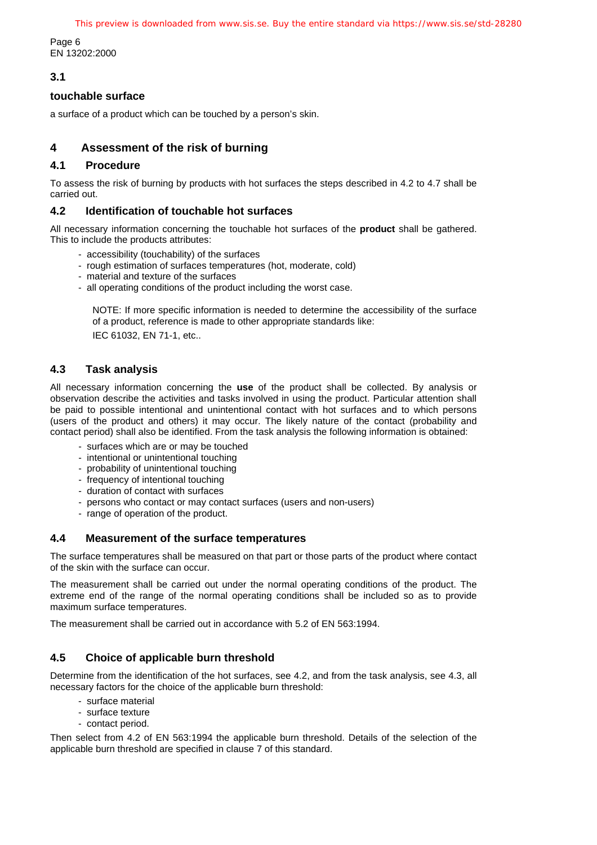This preview is downloaded from www.sis.se. Buy the entire standard via https://www.sis.se/std-28280

Page 6 EN 13202:2000

### **3.1**

### **touchable surface**

a surface of a product which can be touched by a person's skin.

### **4 Assessment of the risk of burning**

### **4.1 Procedure**

To assess the risk of burning by products with hot surfaces the steps described in 4.2 to 4.7 shall be carried out.

### **4.2 Identification of touchable hot surfaces**

All necessary information concerning the touchable hot surfaces of the **product** shall be gathered. This to include the products attributes:

- accessibility (touchability) of the surfaces
- rough estimation of surfaces temperatures (hot, moderate, cold)
- material and texture of the surfaces
- all operating conditions of the product including the worst case.

NOTE: If more specific information is needed to determine the accessibility of the surface of a product, reference is made to other appropriate standards like: IEC 61032, EN 71-1, etc..

### **4.3 Task analysis**

All necessary information concerning the **use** of the product shall be collected. By analysis or observation describe the activities and tasks involved in using the product. Particular attention shall be paid to possible intentional and unintentional contact with hot surfaces and to which persons (users of the product and others) it may occur. The likely nature of the contact (probability and contact period) shall also be identified. From the task analysis the following information is obtained:

- surfaces which are or may be touched
- intentional or unintentional touching
- probability of unintentional touching
- frequency of intentional touching
- duration of contact with surfaces
- persons who contact or may contact surfaces (users and non-users)
- range of operation of the product.

### **4.4 Measurement of the surface temperatures**

The surface temperatures shall be measured on that part or those parts of the product where contact of the skin with the surface can occur.

The measurement shall be carried out under the normal operating conditions of the product. The extreme end of the range of the normal operating conditions shall be included so as to provide maximum surface temperatures.

The measurement shall be carried out in accordance with 5.2 of EN 563:1994.

### **4.5 Choice of applicable burn threshold**

Determine from the identification of the hot surfaces, see 4.2, and from the task analysis, see 4.3, all necessary factors for the choice of the applicable burn threshold:

- surface material
- surface texture
- contact period.

Then select from 4.2 of EN 563:1994 the applicable burn threshold. Details of the selection of the applicable burn threshold are specified in clause 7 of this standard.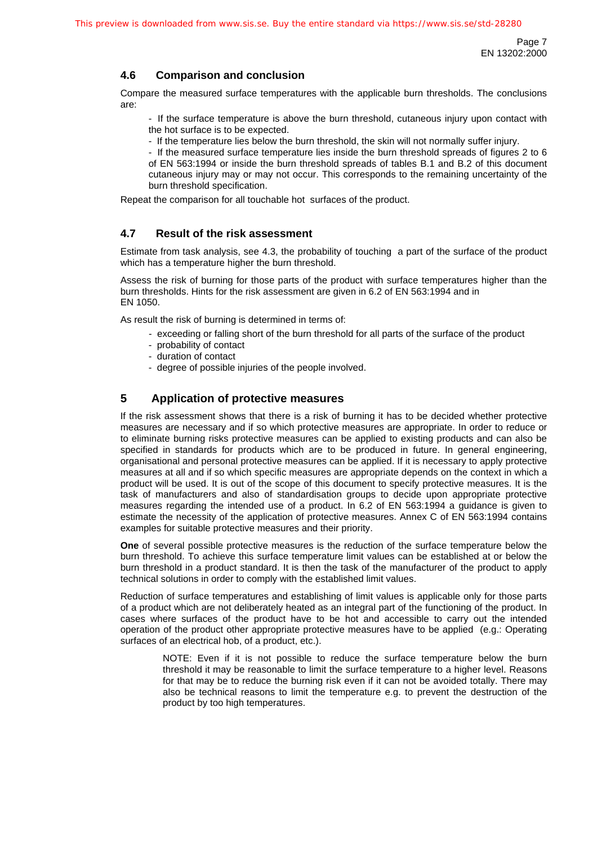Page 7 EN 13202:2000

### **4.6 Comparison and conclusion**

Compare the measured surface temperatures with the applicable burn thresholds. The conclusions are:

- If the surface temperature is above the burn threshold, cutaneous injury upon contact with the hot surface is to be expected.
- If the temperature lies below the burn threshold, the skin will not normally suffer injury.
- If the measured surface temperature lies inside the burn threshold spreads of figures 2 to 6 of EN 563:1994 or inside the burn threshold spreads of tables B.1 and B.2 of this document cutaneous injury may or may not occur. This corresponds to the remaining uncertainty of the burn threshold specification.

Repeat the comparison for all touchable hot surfaces of the product.

#### **4.7 Result of the risk assessment**

Estimate from task analysis, see 4.3, the probability of touching a part of the surface of the product which has a temperature higher the burn threshold.

Assess the risk of burning for those parts of the product with surface temperatures higher than the burn thresholds. Hints for the risk assessment are given in 6.2 of EN 563:1994 and in EN 1050.

As result the risk of burning is determined in terms of:

- exceeding or falling short of the burn threshold for all parts of the surface of the product
- probability of contact
- duration of contact
- degree of possible injuries of the people involved.

### **5 Application of protective measures**

If the risk assessment shows that there is a risk of burning it has to be decided whether protective measures are necessary and if so which protective measures are appropriate. In order to reduce or to eliminate burning risks protective measures can be applied to existing products and can also be specified in standards for products which are to be produced in future. In general engineering, organisational and personal protective measures can be applied. If it is necessary to apply protective measures at all and if so which specific measures are appropriate depends on the context in which a product will be used. It is out of the scope of this document to specify protective measures. It is the task of manufacturers and also of standardisation groups to decide upon appropriate protective measures regarding the intended use of a product. In 6.2 of EN 563:1994 a guidance is given to estimate the necessity of the application of protective measures. Annex C of EN 563:1994 contains examples for suitable protective measures and their priority.

**One** of several possible protective measures is the reduction of the surface temperature below the burn threshold. To achieve this surface temperature limit values can be established at or below the burn threshold in a product standard. It is then the task of the manufacturer of the product to apply technical solutions in order to comply with the established limit values.

Reduction of surface temperatures and establishing of limit values is applicable only for those parts of a product which are not deliberately heated as an integral part of the functioning of the product. In cases where surfaces of the product have to be hot and accessible to carry out the intended operation of the product other appropriate protective measures have to be applied (e.g.: Operating surfaces of an electrical hob, of a product, etc.).

NOTE: Even if it is not possible to reduce the surface temperature below the burn threshold it may be reasonable to limit the surface temperature to a higher level. Reasons for that may be to reduce the burning risk even if it can not be avoided totally. There may also be technical reasons to limit the temperature e.g. to prevent the destruction of the product by too high temperatures.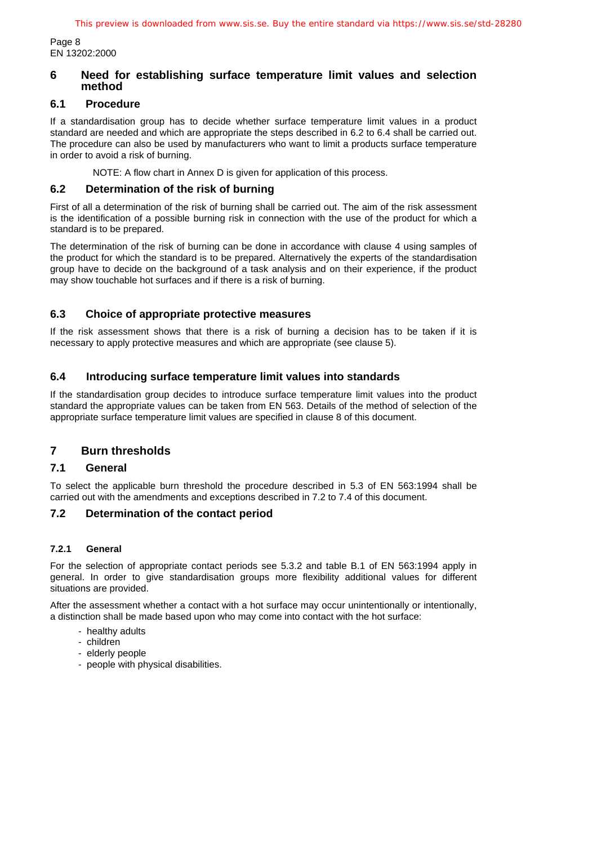Page 8 EN 13202:2000

### **6 Need for establishing surface temperature limit values and selection method**

### **6.1 Procedure**

If a standardisation group has to decide whether surface temperature limit values in a product standard are needed and which are appropriate the steps described in 6.2 to 6.4 shall be carried out. The procedure can also be used by manufacturers who want to limit a products surface temperature in order to avoid a risk of burning.

NOTE: A flow chart in Annex D is given for application of this process.

#### **6.2 Determination of the risk of burning**

First of all a determination of the risk of burning shall be carried out. The aim of the risk assessment is the identification of a possible burning risk in connection with the use of the product for which a standard is to be prepared.

The determination of the risk of burning can be done in accordance with clause 4 using samples of the product for which the standard is to be prepared. Alternatively the experts of the standardisation group have to decide on the background of a task analysis and on their experience, if the product may show touchable hot surfaces and if there is a risk of burning.

### **6.3 Choice of appropriate protective measures**

If the risk assessment shows that there is a risk of burning a decision has to be taken if it is necessary to apply protective measures and which are appropriate (see clause 5).

### **6.4 Introducing surface temperature limit values into standards**

If the standardisation group decides to introduce surface temperature limit values into the product standard the appropriate values can be taken from EN 563. Details of the method of selection of the appropriate surface temperature limit values are specified in clause 8 of this document.

### **7 Burn thresholds**

### **7.1 General**

To select the applicable burn threshold the procedure described in 5.3 of EN 563:1994 shall be carried out with the amendments and exceptions described in 7.2 to 7.4 of this document.

### **7.2 Determination of the contact period**

#### **7.2.1 General**

For the selection of appropriate contact periods see 5.3.2 and table B.1 of EN 563:1994 apply in general. In order to give standardisation groups more flexibility additional values for different situations are provided.

After the assessment whether a contact with a hot surface may occur unintentionally or intentionally, a distinction shall be made based upon who may come into contact with the hot surface:

- healthy adults
- children
- elderly people
- people with physical disabilities.